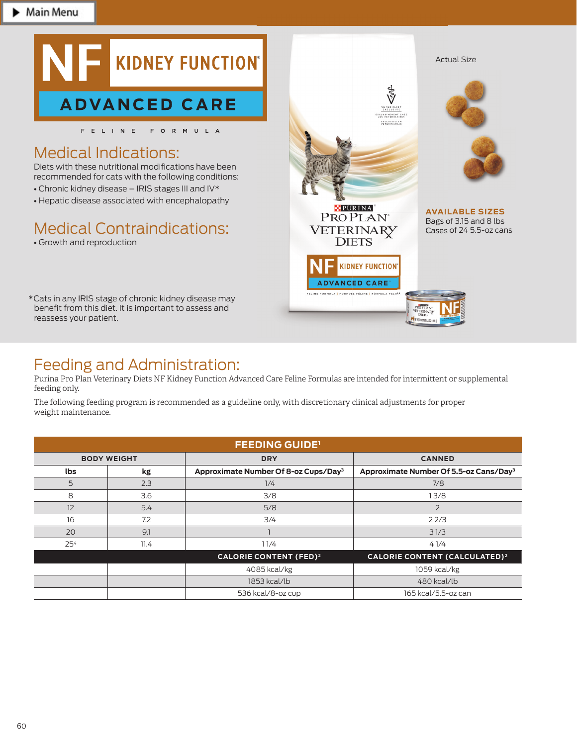

recommended for cats with the following conditions:

- Chronic kidney disease IRIS stages III and IV\*
- Hepatic disease associated with encephalopathy

# Medical Contraindications:

• Growth and reproduction

\* Cats in any IRIS stage of chronic kidney disease may benefit from this diet. It is important to assess and reassess your patient.



## Feeding and Administration:

Purina Pro Plan Veterinary Diets NF Kidney Function Advanced Care Feline Formulas are intended for intermittent or supplemental feeding only.

The following feeding program is recommended as a guideline only, with discretionary clinical adjustments for proper weight maintenance.

| <b>FEEDING GUIDE'</b> |      |                                                  |                                                    |  |  |  |  |  |
|-----------------------|------|--------------------------------------------------|----------------------------------------------------|--|--|--|--|--|
| <b>BODY WEIGHT</b>    |      | <b>DRY</b>                                       | <b>CANNED</b>                                      |  |  |  |  |  |
| <b>lbs</b>            | kg   | Approximate Number Of 8-oz Cups/Day <sup>3</sup> | Approximate Number Of 5.5-oz Cans/Day <sup>3</sup> |  |  |  |  |  |
| 5                     | 2.3  | 1/4                                              | 7/8                                                |  |  |  |  |  |
| 8                     | 3.6  | 3/8                                              | 13/8                                               |  |  |  |  |  |
| 12                    | 5.4  | 5/8                                              | $\overline{2}$                                     |  |  |  |  |  |
| 16                    | 7.2  | 3/4                                              | 22/3                                               |  |  |  |  |  |
| 20                    | 9.1  |                                                  | 31/3                                               |  |  |  |  |  |
| 25 <sup>4</sup>       | 11.4 | 11/4                                             | 41/4                                               |  |  |  |  |  |
|                       |      | <b>CALORIE CONTENT (FED)<sup>2</sup></b>         | <b>CALORIE CONTENT (CALCULATED)<sup>2</sup></b>    |  |  |  |  |  |
|                       |      | 4085 kcal/kg                                     | 1059 kcal/kg                                       |  |  |  |  |  |
|                       |      | 1853 kcal/lb                                     | 480 kcal/lb                                        |  |  |  |  |  |
|                       |      | 536 kcal/8-oz cup                                | 165 kcal/5.5-oz can                                |  |  |  |  |  |